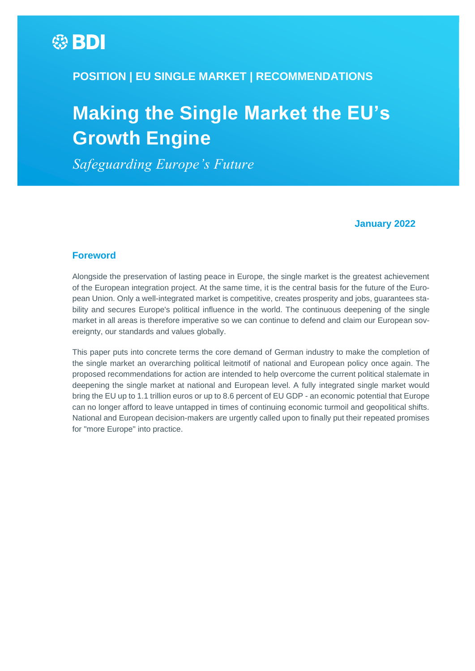# **\$PDI**

## **POSITION | EU SINGLE MARKET | RECOMMENDATIONS**

# **Making the Single Market the EU's Growth Engine**

*Safeguarding Europe's Future*

#### **January 2022**

#### <span id="page-0-0"></span>**Foreword**

Alongside the preservation of lasting peace in Europe, the single market is the greatest achievement of the European integration project. At the same time, it is the central basis for the future of the European Union. Only a well-integrated market is competitive, creates prosperity and jobs, guarantees stability and secures Europe's political influence in the world. The continuous deepening of the single market in all areas is therefore imperative so we can continue to defend and claim our European sovereignty, our standards and values globally.

This paper puts into concrete terms the core demand of German industry to make the completion of the single market an overarching political leitmotif of national and European policy once again. The proposed recommendations for action are intended to help overcome the current political stalemate in deepening the single market at national and European level. A fully integrated single market would bring the EU up to 1.1 trillion euros or up to 8.6 percent of EU GDP - an economic potential that Europe can no longer afford to leave untapped in times of continuing economic turmoil and geopolitical shifts. National and European decision-makers are urgently called upon to finally put their repeated promises for "more Europe" into practice.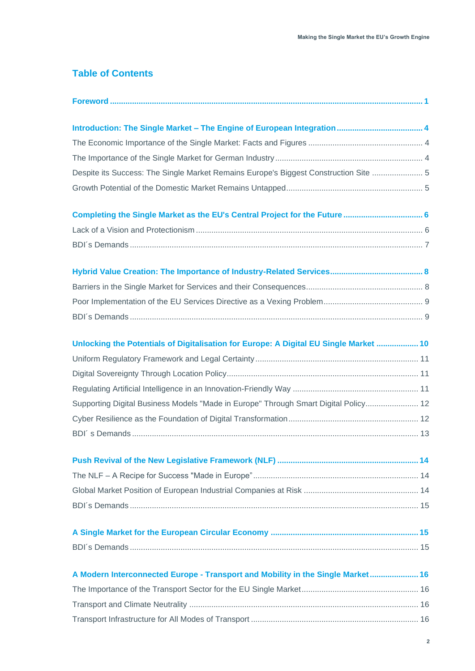## **Table of Contents**

| Despite its Success: The Single Market Remains Europe's Biggest Construction Site  5  |
|---------------------------------------------------------------------------------------|
|                                                                                       |
| Completing the Single Market as the EU's Central Project for the Future  6            |
|                                                                                       |
|                                                                                       |
|                                                                                       |
|                                                                                       |
|                                                                                       |
|                                                                                       |
| Unlocking the Potentials of Digitalisation for Europe: A Digital EU Single Market  10 |
|                                                                                       |
|                                                                                       |
|                                                                                       |
| Supporting Digital Business Models "Made in Europe" Through Smart Digital Policy 12   |
|                                                                                       |
|                                                                                       |
|                                                                                       |
|                                                                                       |
|                                                                                       |
|                                                                                       |
|                                                                                       |
|                                                                                       |
| A Modern Interconnected Europe - Transport and Mobility in the Single Market 16       |
|                                                                                       |
|                                                                                       |
|                                                                                       |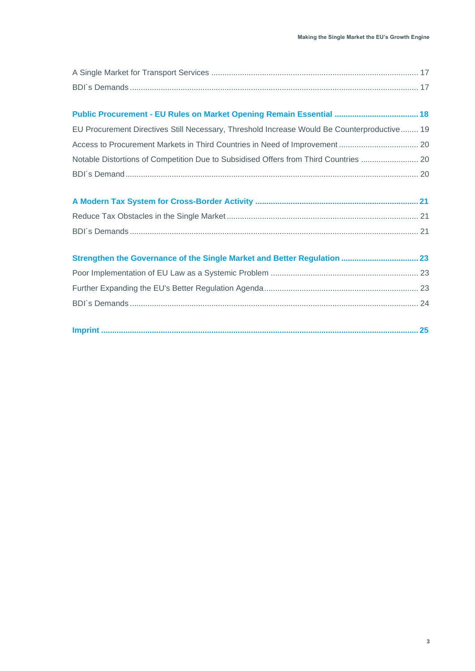| Public Procurement - EU Rules on Market Opening Remain Essential  18                        |  |
|---------------------------------------------------------------------------------------------|--|
| EU Procurement Directives Still Necessary, Threshold Increase Would Be Counterproductive 19 |  |
|                                                                                             |  |
| Notable Distortions of Competition Due to Subsidised Offers from Third Countries  20        |  |
|                                                                                             |  |
|                                                                                             |  |
|                                                                                             |  |
|                                                                                             |  |
|                                                                                             |  |
|                                                                                             |  |
|                                                                                             |  |
|                                                                                             |  |
|                                                                                             |  |
|                                                                                             |  |
|                                                                                             |  |
|                                                                                             |  |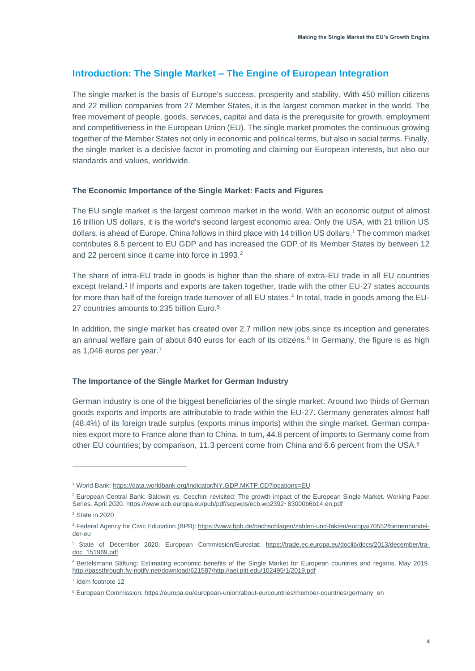## <span id="page-3-0"></span>**Introduction: The Single Market – The Engine of European Integration**

The single market is the basis of Europe's success, prosperity and stability. With 450 million citizens and 22 million companies from 27 Member States, it is the largest common market in the world. The free movement of people, goods, services, capital and data is the prerequisite for growth, employment and competitiveness in the European Union (EU). The single market promotes the continuous growing together of the Member States not only in economic and political terms, but also in social terms. Finally, the single market is a decisive factor in promoting and claiming our European interests, but also our standards and values, worldwide.

#### <span id="page-3-1"></span>**The Economic Importance of the Single Market: Facts and Figures**

The EU single market is the largest common market in the world. With an economic output of almost 16 trillion US dollars, it is the world's second largest economic area. Only the USA, with 21 trillion US dollars, is ahead of Europe. China follows in third place with 14 trillion US dollars. <sup>1</sup> The common market contributes 8.5 percent to EU GDP and has increased the GDP of its Member States by between 12 and 22 percent since it came into force in 1993. 2

The share of intra-EU trade in goods is higher than the share of extra-EU trade in all EU countries except Ireland.<sup>3</sup> If imports and exports are taken together, trade with the other EU-27 states accounts for more than half of the foreign trade turnover of all EU states. 4 In total, trade in goods among the EU-27 countries amounts to 235 billion Euro. 5

In addition, the single market has created over 2.7 million new jobs since its inception and generates an annual welfare gain of about 840 euros for each of its citizens. 6 In Germany, the figure is as high as 1,046 euros per year. 7

#### <span id="page-3-2"></span>**The Importance of the Single Market for German Industry**

German industry is one of the biggest beneficiaries of the single market: Around two thirds of German goods exports and imports are attributable to trade within the EU-27. Germany generates almost half (48.4%) of its foreign trade surplus (exports minus imports) within the single market. German companies export more to France alone than to China. In turn, 44.8 percent of imports to Germany come from other EU countries; by comparison, 11.3 percent come from China and 6.6 percent from the USA.<sup>8</sup>

<sup>1</sup> World Bank[: https://data.worldbank.org/indicator/NY.GDP.MKTP.CD?locations=EU](https://data.worldbank.org/indicator/NY.GDP.MKTP.CD?locations=EU) 

<sup>&</sup>lt;sup>2</sup> European Central Bank: Baldwin vs. Cecchini revisited: The growth impact of the European Single Market. Working Paper Series. April 2020[. https://www.ecb.europa.eu/pub/pdf/scpwps/ecb.wp2392~83000b6b14.en.pdf](https://www.ecb.europa.eu/pub/pdf/scpwps/ecb.wp2392~83000b6b14.en.pdf)

<sup>3</sup> State in 2020

<sup>4</sup> Federal Agency for Civic Education (BPB): [https://www.bpb.de/nachschlagen/zahlen-und-fakten/europa/70552/binnenhandel](https://www.bpb.de/nachschlagen/zahlen-und-fakten/europa/70552/binnenhandel-der-eu)[der-eu](https://www.bpb.de/nachschlagen/zahlen-und-fakten/europa/70552/binnenhandel-der-eu)

<sup>5</sup> State of December 2020, European Commission/Eurostat: [https://trade.ec.europa.eu/doclib/docs/2013/december/tra](https://trade.ec.europa.eu/doclib/docs/2013/december/tradoc_151969.pdf)[doc\\_151969.pdf](https://trade.ec.europa.eu/doclib/docs/2013/december/tradoc_151969.pdf)

<sup>&</sup>lt;sup>6</sup> Bertelsmann Stiftung: Estimating economic benefits of the Single Market for European countries and regions. May 2019. [http://passthrough.fw-notify.net/download/621587/http://aei.pitt.edu/102495/1/2019.pdf](http://passthrough.fw-notify.net/download/621587/http:/aei.pitt.edu/102495/1/2019.pdf)

<sup>7</sup> Idem footnote 12

<sup>&</sup>lt;sup>8</sup> European Commission: [https://europa.eu/european-union/about-eu/countries/member-countries/germany\\_en](https://europa.eu/european-union/about-eu/countries/member-countries/germany_en)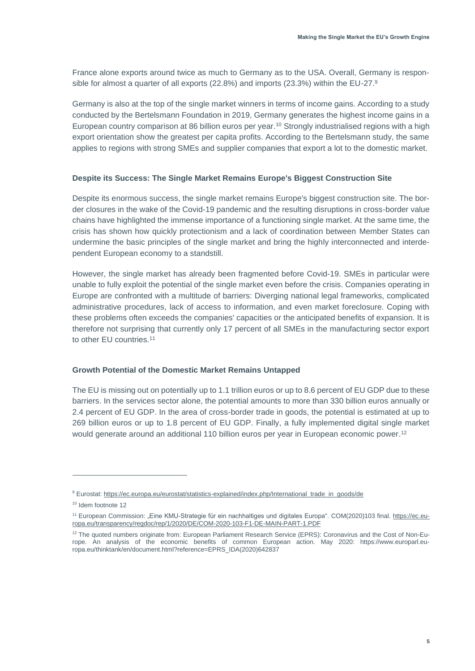France alone exports around twice as much to Germany as to the USA. Overall, Germany is responsible for almost a quarter of all exports (22.8%) and imports (23.3%) within the EU-27.<sup>9</sup>

Germany is also at the top of the single market winners in terms of income gains. According to a study conducted by the Bertelsmann Foundation in 2019, Germany generates the highest income gains in a European country comparison at 86 billion euros per year. <sup>10</sup> Strongly industrialised regions with a high export orientation show the greatest per capita profits. According to the Bertelsmann study, the same applies to regions with strong SMEs and supplier companies that export a lot to the domestic market.

#### <span id="page-4-0"></span>**Despite its Success: The Single Market Remains Europe's Biggest Construction Site**

Despite its enormous success, the single market remains Europe's biggest construction site. The border closures in the wake of the Covid-19 pandemic and the resulting disruptions in cross-border value chains have highlighted the immense importance of a functioning single market. At the same time, the crisis has shown how quickly protectionism and a lack of coordination between Member States can undermine the basic principles of the single market and bring the highly interconnected and interdependent European economy to a standstill.

However, the single market has already been fragmented before Covid-19. SMEs in particular were unable to fully exploit the potential of the single market even before the crisis. Companies operating in Europe are confronted with a multitude of barriers: Diverging national legal frameworks, complicated administrative procedures, lack of access to information, and even market foreclosure. Coping with these problems often exceeds the companies' capacities or the anticipated benefits of expansion. It is therefore not surprising that currently only 17 percent of all SMEs in the manufacturing sector export to other EU countries.<sup>11</sup>

#### <span id="page-4-1"></span>**Growth Potential of the Domestic Market Remains Untapped**

The EU is missing out on potentially up to 1.1 trillion euros or up to 8.6 percent of EU GDP due to these barriers. In the services sector alone, the potential amounts to more than 330 billion euros annually or 2.4 percent of EU GDP. In the area of cross-border trade in goods, the potential is estimated at up to 269 billion euros or up to 1.8 percent of EU GDP. Finally, a fully implemented digital single market would generate around an additional 110 billion euros per year in European economic power.<sup>12</sup>

<sup>9</sup> Eurostat: [https://ec.europa.eu/eurostat/statistics-explained/index.php/International\\_trade\\_in\\_goods/de](https://ec.europa.eu/eurostat/statistics-explained/index.php/International_trade_in_goods/de)

<sup>&</sup>lt;sup>10</sup> Idem footnote 12

<sup>&</sup>lt;sup>11</sup> European Commission: "Eine KMU-Strategie für ein nachhaltiges und digitales Europa". COM(2020)103 final. [https://ec.eu](https://ec.europa.eu/transparency/regdoc/rep/1/2020/DE/COM-2020-103-F1-DE-MAIN-PART-1.PDF)[ropa.eu/transparency/regdoc/rep/1/2020/DE/COM-2020-103-F1-DE-MAIN-PART-1.PDF](https://ec.europa.eu/transparency/regdoc/rep/1/2020/DE/COM-2020-103-F1-DE-MAIN-PART-1.PDF) 

<sup>&</sup>lt;sup>12</sup> The quoted numbers originate from: European Parliament Research Service (EPRS): Coronavirus and the Cost of Non-Europe. An analysis of the economic benefits of common European action. May 2020: https://www.europarl.europa.eu/thinktank/en/document.html?reference=EPRS\_IDA(2020)642837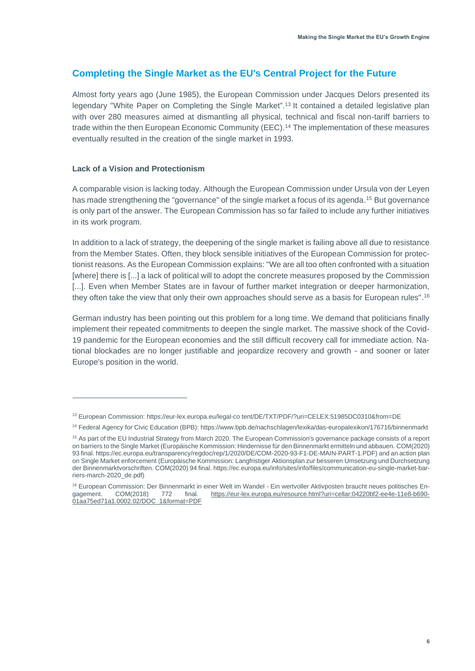## <span id="page-5-0"></span>**Completing the Single Market as the EU's Central Project for the Future**

Almost forty years ago (June 1985), the European Commission under Jacques Delors presented its legendary "White Paper on Completing the Single Market".<sup>13</sup> It contained a detailed legislative plan with over 280 measures aimed at dismantling all physical, technical and fiscal non-tariff barriers to trade within the then European Economic Community (EEC). <sup>14</sup> The implementation of these measures eventually resulted in the creation of the single market in 1993.

#### <span id="page-5-1"></span>**Lack of a Vision and Protectionism**

A comparable vision is lacking today. Although the European Commission under Ursula von der Leyen has made strengthening the "governance" of the single market a focus of its agenda.<sup>15</sup> But governance is only part of the answer. The European Commission has so far failed to include any further initiatives in its work program.

In addition to a lack of strategy, the deepening of the single market is failing above all due to resistance from the Member States. Often, they block sensible initiatives of the European Commission for protectionist reasons. As the European Commission explains: "We are all too often confronted with a situation [where] there is [...] a lack of political will to adopt the concrete measures proposed by the Commission [...]. Even when Member States are in favour of further market integration or deeper harmonization, they often take the view that only their own approaches should serve as a basis for European rules". 16

German industry has been pointing out this problem for a long time. We demand that politicians finally implement their repeated commitments to deepen the single market. The massive shock of the Covid-19 pandemic for the European economies and the still difficult recovery call for immediate action. National blockades are no longer justifiable and jeopardize recovery and growth - and sooner or later Europe's position in the world.

<sup>13</sup> European Commission: [https://eur-lex.europa.eu/legal-co tent/DE/TXT/PDF/?uri=CELEX:51985DC0310&from=DE](https://eur-lex.europa.eu/legal-co%20tent/DE/TXT/PDF/?uri=CELEX:51985DC0310&from=DE)

<sup>14</sup> Federal Agency for Civic Education (BPB)[: https://www.bpb.de/nachschlagen/lexika/das-europalexikon/176716/binnenmarkt](https://www.bpb.de/nachschlagen/lexika/das-europalexikon/176716/binnenmarkt)

<sup>&</sup>lt;sup>15</sup> As part of the EU Industrial Strategy from March 2020. The European Commission's governance package consists of a report on barriers to the Single Market (Europäische Kommission: Hindernisse für den Binnenmarkt ermitteln und abbauen. COM(2020) 93 final[. https://ec.europa.eu/transparency/regdoc/rep/1/2020/DE/COM-2020-93-F1-DE-MAIN-PART-1.PDF\)](https://ec.europa.eu/transparency/regdoc/rep/1/2020/DE/COM-2020-93-F1-DE-MAIN-PART-1.PDF) and an action plan on Single Market enforcement (Europäische Kommission: Langfristiger Aktionsplan zur besseren Umsetzung und Durchsetzung der Binnenmarktvorschriften. COM(2020) 94 final[. https://ec.europa.eu/info/sites/info/files/communication-eu-single-market-bar](https://ec.europa.eu/info/sites/info/files/communication-eu-single-market-barriers-march-2020_de.pdf)[riers-march-2020\\_de.pdf\)](https://ec.europa.eu/info/sites/info/files/communication-eu-single-market-barriers-march-2020_de.pdf)

<sup>&</sup>lt;sup>16</sup> European Commission: Der Binnenmarkt in einer Welt im Wandel - Ein wertvoller Aktivposten braucht neues politisches En-<br>gagement. COM(2018) 772 final. https://eur-lex.europa.eu/resource.html?uri=cellar:04220bf2-ee4e-1 gagement. COM(2018) 772 final. [https://eur-lex.europa.eu/resource.html?uri=cellar:04220bf2-ee4e-11e8-b690-](https://eur-lex.europa.eu/resource.html?uri=cellar:04220bf2-ee4e-11e8-b690-01aa75ed71a1.0002.02/DOC_1&format=PDF) [01aa75ed71a1.0002.02/DOC\\_1&format=PDF](https://eur-lex.europa.eu/resource.html?uri=cellar:04220bf2-ee4e-11e8-b690-01aa75ed71a1.0002.02/DOC_1&format=PDF)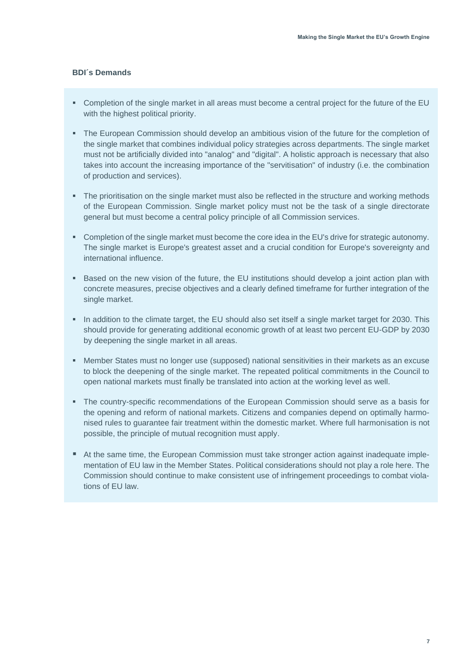- <span id="page-6-0"></span>▪ Completion of the single market in all areas must become a central project for the future of the EU with the highest political priority.
- **•** The European Commission should develop an ambitious vision of the future for the completion of the single market that combines individual policy strategies across departments. The single market must not be artificially divided into "analog" and "digital". A holistic approach is necessary that also takes into account the increasing importance of the "servitisation" of industry (i.e. the combination of production and services).
- The prioritisation on the single market must also be reflected in the structure and working methods of the European Commission. Single market policy must not be the task of a single directorate general but must become a central policy principle of all Commission services.
- Completion of the single market must become the core idea in the EU's drive for strategic autonomy. The single market is Europe's greatest asset and a crucial condition for Europe's sovereignty and international influence.
- Based on the new vision of the future, the EU institutions should develop a joint action plan with concrete measures, precise objectives and a clearly defined timeframe for further integration of the single market.
- In addition to the climate target, the EU should also set itself a single market target for 2030. This should provide for generating additional economic growth of at least two percent EU-GDP by 2030 by deepening the single market in all areas.
- Member States must no longer use (supposed) national sensitivities in their markets as an excuse to block the deepening of the single market. The repeated political commitments in the Council to open national markets must finally be translated into action at the working level as well.
- **The country-specific recommendations of the European Commission should serve as a basis for** the opening and reform of national markets. Citizens and companies depend on optimally harmonised rules to guarantee fair treatment within the domestic market. Where full harmonisation is not possible, the principle of mutual recognition must apply.
- At the same time, the European Commission must take stronger action against inadequate implementation of EU law in the Member States. Political considerations should not play a role here. The Commission should continue to make consistent use of infringement proceedings to combat violations of EU law.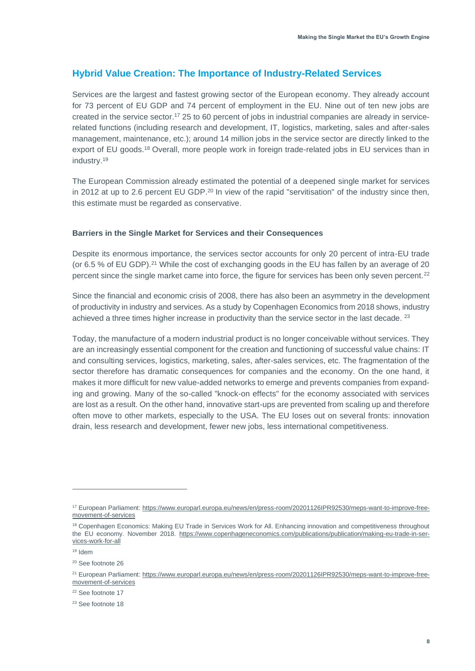## <span id="page-7-0"></span>**Hybrid Value Creation: The Importance of Industry-Related Services**

Services are the largest and fastest growing sector of the European economy. They already account for 73 percent of EU GDP and 74 percent of employment in the EU. Nine out of ten new jobs are created in the service sector. <sup>17</sup> 25 to 60 percent of jobs in industrial companies are already in servicerelated functions (including research and development, IT, logistics, marketing, sales and after-sales management, maintenance, etc.); around 14 million jobs in the service sector are directly linked to the export of EU goods.<sup>18</sup> Overall, more people work in foreign trade-related jobs in EU services than in industry. 19

The European Commission already estimated the potential of a deepened single market for services in 2012 at up to 2.6 percent EU GDP.<sup>20</sup> In view of the rapid "servitisation" of the industry since then, this estimate must be regarded as conservative.

#### <span id="page-7-1"></span>**Barriers in the Single Market for Services and their Consequences**

Despite its enormous importance, the services sector accounts for only 20 percent of intra-EU trade (or 6.5 % of EU GDP). <sup>21</sup> While the cost of exchanging goods in the EU has fallen by an average of 20 percent since the single market came into force, the figure for services has been only seven percent.<sup>22</sup>

Since the financial and economic crisis of 2008, there has also been an asymmetry in the development of productivity in industry and services. As a study by Copenhagen Economics from 2018 shows, industry achieved a three times higher increase in productivity than the service sector in the last decade. <sup>23</sup>

Today, the manufacture of a modern industrial product is no longer conceivable without services. They are an increasingly essential component for the creation and functioning of successful value chains: IT and consulting services, logistics, marketing, sales, after-sales services, etc. The fragmentation of the sector therefore has dramatic consequences for companies and the economy. On the one hand, it makes it more difficult for new value-added networks to emerge and prevents companies from expanding and growing. Many of the so-called "knock-on effects" for the economy associated with services are lost as a result. On the other hand, innovative start-ups are prevented from scaling up and therefore often move to other markets, especially to the USA. The EU loses out on several fronts: innovation drain, less research and development, fewer new jobs, less international competitiveness.

<sup>19</sup> Idem

<sup>22</sup> See footnote 17

<sup>23</sup> See footnote 18

<sup>17</sup> European Parliament[: https://www.europarl.europa.eu/news/en/press-room/20201126IPR92530/meps-want-to-improve-free](https://www.europarl.europa.eu/news/en/press-room/20201126IPR92530/meps-want-to-improve-free-movement-of-services)[movement-of-services](https://www.europarl.europa.eu/news/en/press-room/20201126IPR92530/meps-want-to-improve-free-movement-of-services)

<sup>&</sup>lt;sup>18</sup> Copenhagen Economics: Making EU Trade in Services Work for All. Enhancing innovation and competitiveness throughout the EU economy. November 2018. [https://www.copenhageneconomics.com/publications/publication/making-eu-trade-in-ser](https://www.copenhageneconomics.com/publications/publication/making-eu-trade-in-services-work-for-all)[vices-work-for-all](https://www.copenhageneconomics.com/publications/publication/making-eu-trade-in-services-work-for-all)

<sup>&</sup>lt;sup>20</sup> See footnote 26

<sup>&</sup>lt;sup>21</sup> European Parliament[: https://www.europarl.europa.eu/news/en/press-room/20201126IPR92530/meps-want-to-improve-free](https://www.europarl.europa.eu/news/en/press-room/20201126IPR92530/meps-want-to-improve-free-movement-of-services)[movement-of-services](https://www.europarl.europa.eu/news/en/press-room/20201126IPR92530/meps-want-to-improve-free-movement-of-services)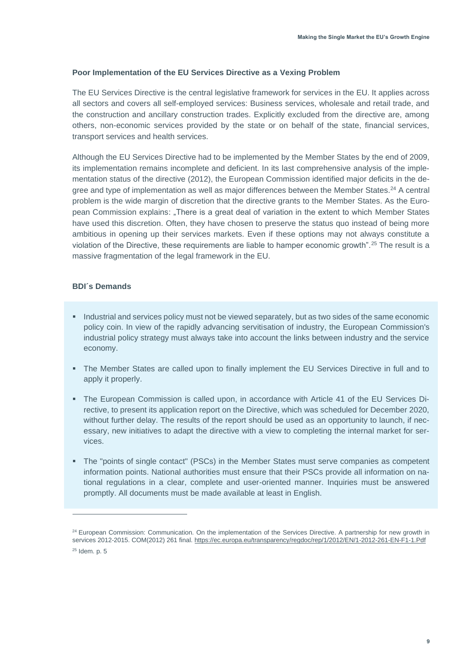#### <span id="page-8-0"></span>**Poor Implementation of the EU Services Directive as a Vexing Problem**

The EU Services Directive is the central legislative framework for services in the EU. It applies across all sectors and covers all self-employed services: Business services, wholesale and retail trade, and the construction and ancillary construction trades. Explicitly excluded from the directive are, among others, non-economic services provided by the state or on behalf of the state, financial services, transport services and health services.

Although the EU Services Directive had to be implemented by the Member States by the end of 2009, its implementation remains incomplete and deficient. In its last comprehensive analysis of the implementation status of the directive (2012), the European Commission identified major deficits in the degree and type of implementation as well as major differences between the Member States.<sup>24</sup> A central problem is the wide margin of discretion that the directive grants to the Member States. As the European Commission explains: "There is a great deal of variation in the extent to which Member States have used this discretion. Often, they have chosen to preserve the status quo instead of being more ambitious in opening up their services markets. Even if these options may not always constitute a violation of the Directive, these requirements are liable to hamper economic growth".<sup>25</sup> The result is a massive fragmentation of the legal framework in the EU.

- <span id="page-8-1"></span>**EXECT** Industrial and services policy must not be viewed separately, but as two sides of the same economic policy coin. In view of the rapidly advancing servitisation of industry, the European Commission's industrial policy strategy must always take into account the links between industry and the service economy.
- The Member States are called upon to finally implement the EU Services Directive in full and to apply it properly.
- The European Commission is called upon, in accordance with Article 41 of the EU Services Directive, to present its application report on the Directive, which was scheduled for December 2020, without further delay. The results of the report should be used as an opportunity to launch, if necessary, new initiatives to adapt the directive with a view to completing the internal market for services.
- The "points of single contact" (PSCs) in the Member States must serve companies as competent information points. National authorities must ensure that their PSCs provide all information on national regulations in a clear, complete and user-oriented manner. Inquiries must be answered promptly. All documents must be made available at least in English.

<sup>&</sup>lt;sup>24</sup> European Commission: Communication. On the implementation of the Services Directive. A partnership for new growth in services 2012-2015. COM(2012) 261 final[. https://ec.europa.eu/transparency/regdoc/rep/1/2012/EN/1-2012-261-EN-F1-1.Pdf](https://ec.europa.eu/transparency/regdoc/rep/1/2012/EN/1-2012-261-EN-F1-1.Pdf)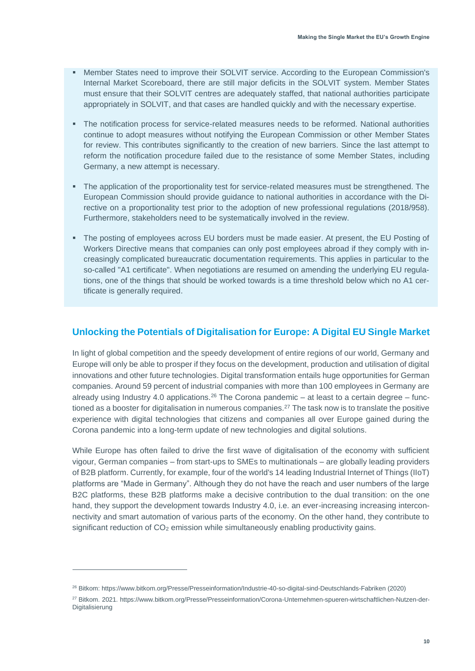- **Member States need to improve their SOLVIT service. According to the European Commission's** Internal Market Scoreboard, there are still major deficits in the SOLVIT system. Member States must ensure that their SOLVIT centres are adequately staffed, that national authorities participate appropriately in SOLVIT, and that cases are handled quickly and with the necessary expertise.
- The notification process for service-related measures needs to be reformed. National authorities continue to adopt measures without notifying the European Commission or other Member States for review. This contributes significantly to the creation of new barriers. Since the last attempt to reform the notification procedure failed due to the resistance of some Member States, including Germany, a new attempt is necessary.
- **•** The application of the proportionality test for service-related measures must be strengthened. The European Commission should provide guidance to national authorities in accordance with the Directive on a proportionality test prior to the adoption of new professional regulations (2018/958). Furthermore, stakeholders need to be systematically involved in the review.
- The posting of employees across EU borders must be made easier. At present, the EU Posting of Workers Directive means that companies can only post employees abroad if they comply with increasingly complicated bureaucratic documentation requirements. This applies in particular to the so-called "A1 certificate". When negotiations are resumed on amending the underlying EU regulations, one of the things that should be worked towards is a time threshold below which no A1 certificate is generally required.

## <span id="page-9-0"></span>**Unlocking the Potentials of Digitalisation for Europe: A Digital EU Single Market**

In light of global competition and the speedy development of entire regions of our world, Germany and Europe will only be able to prosper if they focus on the development, production and utilisation of digital innovations and other future technologies. Digital transformation entails huge opportunities for German companies. Around 59 percent of industrial companies with more than 100 employees in Germany are already using Industry 4.0 applications.<sup>26</sup> The Corona pandemic – at least to a certain degree – functioned as a booster for digitalisation in numerous companies.<sup>27</sup> The task now is to translate the positive experience with digital technologies that citizens and companies all over Europe gained during the Corona pandemic into a long-term update of new technologies and digital solutions.

While Europe has often failed to drive the first wave of digitalisation of the economy with sufficient vigour, German companies – from start-ups to SMEs to multinationals – are globally leading providers of B2B platform. Currently, for example, four of the world's 14 leading Industrial Internet of Things (IIoT) platforms are "Made in Germany". Although they do not have the reach and user numbers of the large B2C platforms, these B2B platforms make a decisive contribution to the dual transition: on the one hand, they support the development towards Industry 4.0, i.e. an ever-increasing increasing interconnectivity and smart automation of various parts of the economy. On the other hand, they contribute to significant reduction of  $CO<sub>2</sub>$  emission while simultaneously enabling productivity gains.

<sup>26</sup> Bitkom[: https://www.bitkom.org/Presse/Presseinformation/Industrie-40-so-digital-sind-Deutschlands-Fabriken](https://www.bitkom.org/Presse/Presseinformation/Industrie-40-so-digital-sind-Deutschlands-Fabriken) (2020)

<sup>27</sup> Bitkom. 2021. https://www.bitkom.org/Presse/Presseinformation/Corona-Unternehmen-spueren-wirtschaftlichen-Nutzen-der-Digitalisierung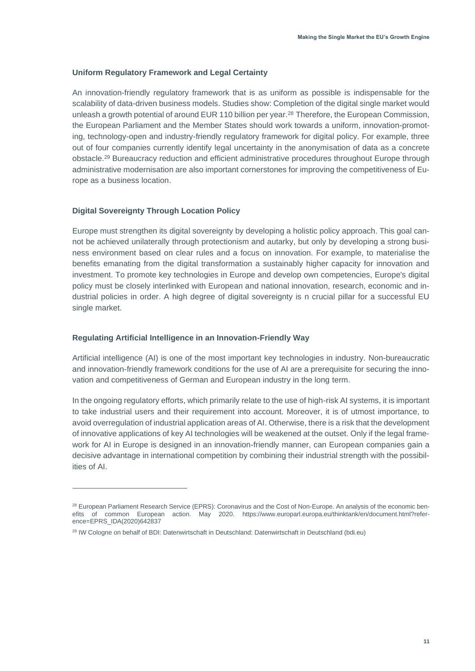#### <span id="page-10-0"></span>**Uniform Regulatory Framework and Legal Certainty**

An innovation-friendly regulatory framework that is as uniform as possible is indispensable for the scalability of data-driven business models. Studies show: Completion of the digital single market would unleash a growth potential of around EUR 110 billion per year. <sup>28</sup> Therefore, the European Commission, the European Parliament and the Member States should work towards a uniform, innovation-promoting, technology-open and industry-friendly regulatory framework for digital policy. For example, three out of four companies currently identify legal uncertainty in the anonymisation of data as a concrete obstacle. <sup>29</sup> Bureaucracy reduction and efficient administrative procedures throughout Europe through administrative modernisation are also important cornerstones for improving the competitiveness of Europe as a business location.

#### <span id="page-10-1"></span>**Digital Sovereignty Through Location Policy**

Europe must strengthen its digital sovereignty by developing a holistic policy approach. This goal cannot be achieved unilaterally through protectionism and autarky, but only by developing a strong business environment based on clear rules and a focus on innovation. For example, to materialise the benefits emanating from the digital transformation a sustainably higher capacity for innovation and investment. To promote key technologies in Europe and develop own competencies, Europe's digital policy must be closely interlinked with European and national innovation, research, economic and industrial policies in order. A high degree of digital sovereignty is n crucial pillar for a successful EU single market.

#### <span id="page-10-2"></span>**Regulating Artificial Intelligence in an Innovation-Friendly Way**

Artificial intelligence (AI) is one of the most important key technologies in industry. Non-bureaucratic and innovation-friendly framework conditions for the use of AI are a prerequisite for securing the innovation and competitiveness of German and European industry in the long term.

In the ongoing regulatory efforts, which primarily relate to the use of high-risk AI systems, it is important to take industrial users and their requirement into account. Moreover, it is of utmost importance, to avoid overregulation of industrial application areas of AI. Otherwise, there is a risk that the development of innovative applications of key AI technologies will be weakened at the outset. Only if the legal framework for AI in Europe is designed in an innovation-friendly manner, can European companies gain a decisive advantage in international competition by combining their industrial strength with the possibilities of AI.

<sup>&</sup>lt;sup>28</sup> European Parliament Research Service (EPRS): Coronavirus and the Cost of Non-Europe. An analysis of the economic benefits of common European action. May 2020. [https://www.europarl.europa.eu/thinktank/en/document.html?refer](https://www.europarl.europa.eu/thinktank/en/document.html?reference=EPRS_IDA(2020)642837)[ence=EPRS\\_IDA\(2020\)642837](https://www.europarl.europa.eu/thinktank/en/document.html?reference=EPRS_IDA(2020)642837)

<sup>29</sup> IW Cologne on behalf of BDI: Datenwirtschaft in Deutschland: [Datenwirtschaft in Deutschland \(bdi.eu\)](https://bdi.eu/publikation/news/datenwirtschaft-in-deutschland/)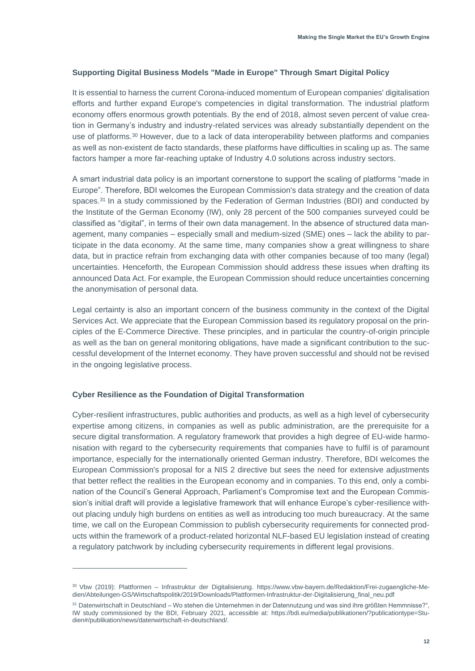#### <span id="page-11-0"></span>**Supporting Digital Business Models "Made in Europe" Through Smart Digital Policy**

It is essential to harness the current Corona-induced momentum of European companies' digitalisation efforts and further expand Europe's competencies in digital transformation. The industrial platform economy offers enormous growth potentials. By the end of 2018, almost seven percent of value creation in Germany's industry and industry-related services was already substantially dependent on the use of platforms.<sup>30</sup> However, due to a lack of data interoperability between platforms and companies as well as non-existent de facto standards, these platforms have difficulties in scaling up as. The same factors hamper a more far-reaching uptake of Industry 4.0 solutions across industry sectors.

A smart industrial data policy is an important cornerstone to support the scaling of platforms "made in Europe". Therefore, BDI welcomes the European Commission's data strategy and the creation of data spaces.<sup>31</sup> In a study commissioned by the Federation of German Industries (BDI) and conducted by the Institute of the German Economy (IW), only 28 percent of the 500 companies surveyed could be classified as "digital", in terms of their own data management. In the absence of structured data management, many companies – especially small and medium-sized (SME) ones – lack the ability to participate in the data economy. At the same time, many companies show a great willingness to share data, but in practice refrain from exchanging data with other companies because of too many (legal) uncertainties. Henceforth, the European Commission should address these issues when drafting its announced Data Act. For example, the European Commission should reduce uncertainties concerning the anonymisation of personal data.

Legal certainty is also an important concern of the business community in the context of the Digital Services Act. We appreciate that the European Commission based its regulatory proposal on the principles of the E-Commerce Directive. These principles, and in particular the country-of-origin principle as well as the ban on general monitoring obligations, have made a significant contribution to the successful development of the Internet economy. They have proven successful and should not be revised in the ongoing legislative process.

#### <span id="page-11-1"></span>**Cyber Resilience as the Foundation of Digital Transformation**

Cyber-resilient infrastructures, public authorities and products, as well as a high level of cybersecurity expertise among citizens, in companies as well as public administration, are the prerequisite for a secure digital transformation. A regulatory framework that provides a high degree of EU-wide harmonisation with regard to the cybersecurity requirements that companies have to fulfil is of paramount importance, especially for the internationally oriented German industry. Therefore, BDI welcomes the European Commission's proposal for a NIS 2 directive but sees the need for extensive adjustments that better reflect the realities in the European economy and in companies. To this end, only a combination of the Council's General Approach, Parliament's Compromise text and the European Commission's initial draft will provide a legislative framework that will enhance Europe's cyber-resilience without placing unduly high burdens on entities as well as introducing too much bureaucracy. At the same time, we call on the European Commission to publish cybersecurity requirements for connected products within the framework of a product-related horizontal NLF-based EU legislation instead of creating a regulatory patchwork by including cybersecurity requirements in different legal provisions.

<sup>30</sup> Vbw (2019): Plattformen – Infrastruktur der Digitalisierung. [https://www.vbw-bayern.de/Redaktion/Frei-zugaengliche-Me](https://www.vbw-bayern.de/Redaktion/Frei-zugaengliche-Medien/Abteilungen-GS/Wirtschaftspolitik/2019/Downloads/Plattformen-Infrastruktur-der-Digitalisierung_final_neu.pdf)[dien/Abteilungen-GS/Wirtschaftspolitik/2019/Downloads/Plattformen-Infrastruktur-der-Digitalisierung\\_final\\_neu.pdf](https://www.vbw-bayern.de/Redaktion/Frei-zugaengliche-Medien/Abteilungen-GS/Wirtschaftspolitik/2019/Downloads/Plattformen-Infrastruktur-der-Digitalisierung_final_neu.pdf)

<sup>31</sup> Datenwirtschaft in Deutschland – Wo stehen die Unternehmen in der Datennutzung und was sind ihre größten Hemmnisse?", IW study commissioned by the BDI, February 2021, accessible at: https://bdi.eu/media/publikationen/?publicationtype=Studien#/publikation/news/datenwirtschaft-in-deutschland/.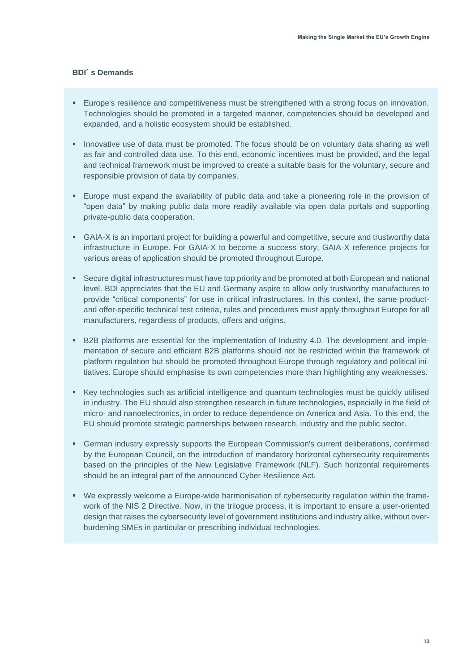- <span id="page-12-0"></span>▪ Europe's resilience and competitiveness must be strengthened with a strong focus on innovation. Technologies should be promoted in a targeted manner, competencies should be developed and expanded, and a holistic ecosystem should be established.
- **.** Innovative use of data must be promoted. The focus should be on voluntary data sharing as well as fair and controlled data use. To this end, economic incentives must be provided, and the legal and technical framework must be improved to create a suitable basis for the voluntary, secure and responsible provision of data by companies.
- Europe must expand the availability of public data and take a pioneering role in the provision of "open data" by making public data more readily available via open data portals and supporting private-public data cooperation.
- GAIA-X is an important project for building a powerful and competitive, secure and trustworthy data infrastructure in Europe. For GAIA-X to become a success story, GAIA-X reference projects for various areas of application should be promoted throughout Europe.
- **•** Secure digital infrastructures must have top priority and be promoted at both European and national level. BDI appreciates that the EU and Germany aspire to allow only trustworthy manufactures to provide "critical components" for use in critical infrastructures. In this context, the same productand offer-specific technical test criteria, rules and procedures must apply throughout Europe for all manufacturers, regardless of products, offers and origins.
- B2B platforms are essential for the implementation of Industry 4.0. The development and implementation of secure and efficient B2B platforms should not be restricted within the framework of platform regulation but should be promoted throughout Europe through regulatory and political initiatives. Europe should emphasise its own competencies more than highlighting any weaknesses.
- Key technologies such as artificial intelligence and quantum technologies must be quickly utilised in industry. The EU should also strengthen research in future technologies, especially in the field of micro- and nanoelectronics, in order to reduce dependence on America and Asia. To this end, the EU should promote strategic partnerships between research, industry and the public sector.
- **•** German industry expressly supports the European Commission's current deliberations, confirmed by the European Council, on the introduction of mandatory horizontal cybersecurity requirements based on the principles of the New Legislative Framework (NLF). Such horizontal requirements should be an integral part of the announced Cyber Resilience Act.
- We expressly welcome a Europe-wide harmonisation of cybersecurity regulation within the framework of the NIS 2 Directive. Now, in the trilogue process, it is important to ensure a user-oriented design that raises the cybersecurity level of government institutions and industry alike, without overburdening SMEs in particular or prescribing individual technologies.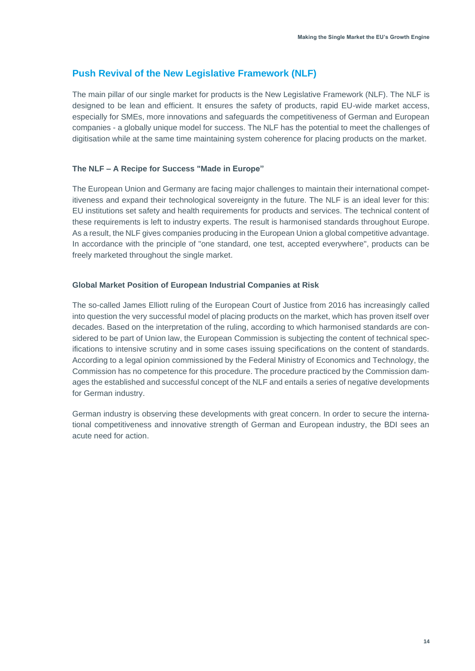## <span id="page-13-0"></span>**Push Revival of the New Legislative Framework (NLF)**

The main pillar of our single market for products is the New Legislative Framework (NLF). The NLF is designed to be lean and efficient. It ensures the safety of products, rapid EU-wide market access, especially for SMEs, more innovations and safeguards the competitiveness of German and European companies - a globally unique model for success. The NLF has the potential to meet the challenges of digitisation while at the same time maintaining system coherence for placing products on the market.

#### <span id="page-13-1"></span>**The NLF – A Recipe for Success "Made in Europe"**

The European Union and Germany are facing major challenges to maintain their international competitiveness and expand their technological sovereignty in the future. The NLF is an ideal lever for this: EU institutions set safety and health requirements for products and services. The technical content of these requirements is left to industry experts. The result is harmonised standards throughout Europe. As a result, the NLF gives companies producing in the European Union a global competitive advantage. In accordance with the principle of "one standard, one test, accepted everywhere", products can be freely marketed throughout the single market.

#### <span id="page-13-2"></span>**Global Market Position of European Industrial Companies at Risk**

The so-called James Elliott ruling of the European Court of Justice from 2016 has increasingly called into question the very successful model of placing products on the market, which has proven itself over decades. Based on the interpretation of the ruling, according to which harmonised standards are considered to be part of Union law, the European Commission is subjecting the content of technical specifications to intensive scrutiny and in some cases issuing specifications on the content of standards. According to a legal opinion commissioned by the Federal Ministry of Economics and Technology, the Commission has no competence for this procedure. The procedure practiced by the Commission damages the established and successful concept of the NLF and entails a series of negative developments for German industry.

German industry is observing these developments with great concern. In order to secure the international competitiveness and innovative strength of German and European industry, the BDI sees an acute need for action.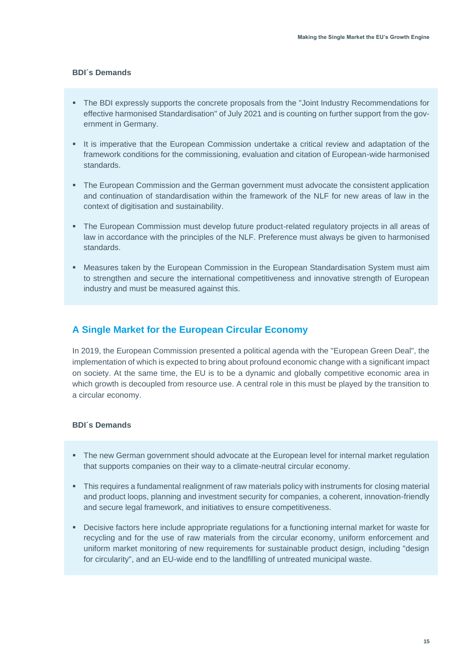#### <span id="page-14-0"></span>**BDI´s Demands**

- The BDI expressly supports the concrete proposals from the "Joint Industry Recommendations for effective harmonised Standardisation" of July 2021 and is counting on further support from the government in Germany.
- It is imperative that the European Commission undertake a critical review and adaptation of the framework conditions for the commissioning, evaluation and citation of European-wide harmonised standards.
- The European Commission and the German government must advocate the consistent application and continuation of standardisation within the framework of the NLF for new areas of law in the context of digitisation and sustainability.
- The European Commission must develop future product-related regulatory projects in all areas of law in accordance with the principles of the NLF. Preference must always be given to harmonised standards.
- **■** Measures taken by the European Commission in the European Standardisation System must aim to strengthen and secure the international competitiveness and innovative strength of European industry and must be measured against this.

### <span id="page-14-1"></span>**A Single Market for the European Circular Economy**

In 2019, the European Commission presented a political agenda with the "European Green Deal", the implementation of which is expected to bring about profound economic change with a significant impact on society. At the same time, the EU is to be a dynamic and globally competitive economic area in which growth is decoupled from resource use. A central role in this must be played by the transition to a circular economy.

- <span id="page-14-2"></span>■ The new German government should advocate at the European level for internal market regulation that supports companies on their way to a climate-neutral circular economy.
- This requires a fundamental realignment of raw materials policy with instruments for closing material and product loops, planning and investment security for companies, a coherent, innovation-friendly and secure legal framework, and initiatives to ensure competitiveness.
- **•** Decisive factors here include appropriate regulations for a functioning internal market for waste for recycling and for the use of raw materials from the circular economy, uniform enforcement and uniform market monitoring of new requirements for sustainable product design, including "design for circularity", and an EU-wide end to the landfilling of untreated municipal waste.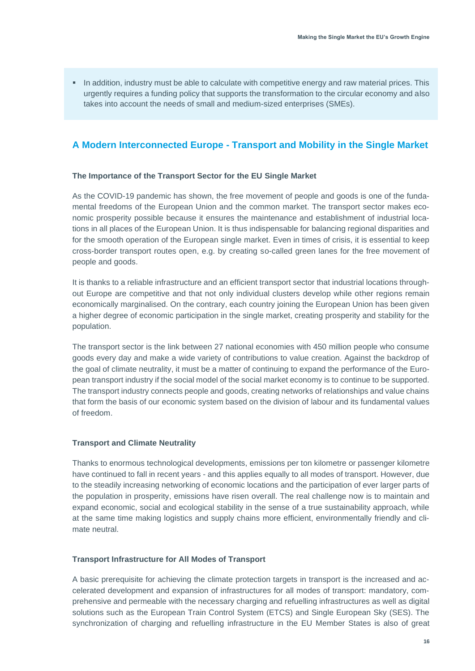**.** In addition, industry must be able to calculate with competitive energy and raw material prices. This urgently requires a funding policy that supports the transformation to the circular economy and also takes into account the needs of small and medium-sized enterprises (SMEs).

## <span id="page-15-0"></span>**A Modern Interconnected Europe - Transport and Mobility in the Single Market**

#### <span id="page-15-1"></span>**The Importance of the Transport Sector for the EU Single Market**

As the COVID-19 pandemic has shown, the free movement of people and goods is one of the fundamental freedoms of the European Union and the common market. The transport sector makes economic prosperity possible because it ensures the maintenance and establishment of industrial locations in all places of the European Union. It is thus indispensable for balancing regional disparities and for the smooth operation of the European single market. Even in times of crisis, it is essential to keep cross-border transport routes open, e.g. by creating so-called green lanes for the free movement of people and goods.

It is thanks to a reliable infrastructure and an efficient transport sector that industrial locations throughout Europe are competitive and that not only individual clusters develop while other regions remain economically marginalised. On the contrary, each country joining the European Union has been given a higher degree of economic participation in the single market, creating prosperity and stability for the population.

The transport sector is the link between 27 national economies with 450 million people who consume goods every day and make a wide variety of contributions to value creation. Against the backdrop of the goal of climate neutrality, it must be a matter of continuing to expand the performance of the European transport industry if the social model of the social market economy is to continue to be supported. The transport industry connects people and goods, creating networks of relationships and value chains that form the basis of our economic system based on the division of labour and its fundamental values of freedom.

#### <span id="page-15-2"></span>**Transport and Climate Neutrality**

Thanks to enormous technological developments, emissions per ton kilometre or passenger kilometre have continued to fall in recent years - and this applies equally to all modes of transport. However, due to the steadily increasing networking of economic locations and the participation of ever larger parts of the population in prosperity, emissions have risen overall. The real challenge now is to maintain and expand economic, social and ecological stability in the sense of a true sustainability approach, while at the same time making logistics and supply chains more efficient, environmentally friendly and climate neutral.

#### <span id="page-15-3"></span>**Transport Infrastructure for All Modes of Transport**

A basic prerequisite for achieving the climate protection targets in transport is the increased and accelerated development and expansion of infrastructures for all modes of transport: mandatory, comprehensive and permeable with the necessary charging and refuelling infrastructures as well as digital solutions such as the European Train Control System (ETCS) and Single European Sky (SES). The synchronization of charging and refuelling infrastructure in the EU Member States is also of great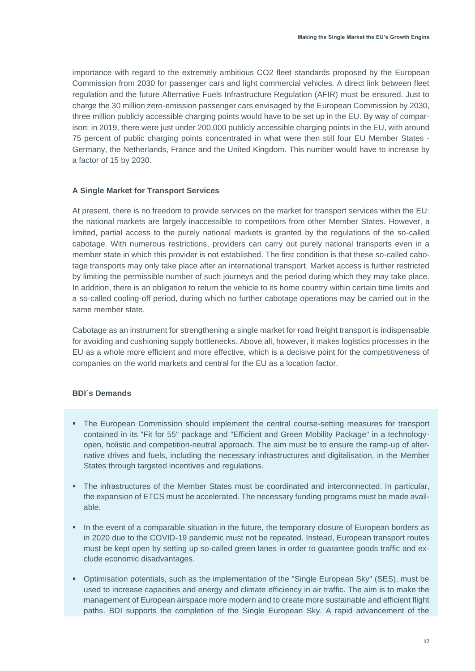importance with regard to the extremely ambitious CO2 fleet standards proposed by the European Commission from 2030 for passenger cars and light commercial vehicles. A direct link between fleet regulation and the future Alternative Fuels Infrastructure Regulation (AFIR) must be ensured. Just to charge the 30 million zero-emission passenger cars envisaged by the European Commission by 2030, three million publicly accessible charging points would have to be set up in the EU. By way of comparison: in 2019, there were just under 200,000 publicly accessible charging points in the EU, with around 75 percent of public charging points concentrated in what were then still four EU Member States - Germany, the Netherlands, France and the United Kingdom. This number would have to increase by a factor of 15 by 2030.

#### <span id="page-16-0"></span>**A Single Market for Transport Services**

At present, there is no freedom to provide services on the market for transport services within the EU: the national markets are largely inaccessible to competitors from other Member States. However, a limited, partial access to the purely national markets is granted by the regulations of the so-called cabotage. With numerous restrictions, providers can carry out purely national transports even in a member state in which this provider is not established. The first condition is that these so-called cabotage transports may only take place after an international transport. Market access is further restricted by limiting the permissible number of such journeys and the period during which they may take place. In addition, there is an obligation to return the vehicle to its home country within certain time limits and a so-called cooling-off period, during which no further cabotage operations may be carried out in the same member state.

Cabotage as an instrument for strengthening a single market for road freight transport is indispensable for avoiding and cushioning supply bottlenecks. Above all, however, it makes logistics processes in the EU as a whole more efficient and more effective, which is a decisive point for the competitiveness of companies on the world markets and central for the EU as a location factor.

- <span id="page-16-1"></span>■ The European Commission should implement the central course-setting measures for transport contained in its "Fit for 55" package and "Efficient and Green Mobility Package" in a technologyopen, holistic and competition-neutral approach. The aim must be to ensure the ramp-up of alternative drives and fuels, including the necessary infrastructures and digitalisation, in the Member States through targeted incentives and regulations.
- The infrastructures of the Member States must be coordinated and interconnected. In particular, the expansion of ETCS must be accelerated. The necessary funding programs must be made available.
- In the event of a comparable situation in the future, the temporary closure of European borders as in 2020 due to the COVID-19 pandemic must not be repeated. Instead, European transport routes must be kept open by setting up so-called green lanes in order to guarantee goods traffic and exclude economic disadvantages.
- Optimisation potentials, such as the implementation of the "Single European Sky" (SES), must be used to increase capacities and energy and climate efficiency in air traffic. The aim is to make the management of European airspace more modern and to create more sustainable and efficient flight paths. BDI supports the completion of the Single European Sky. A rapid advancement of the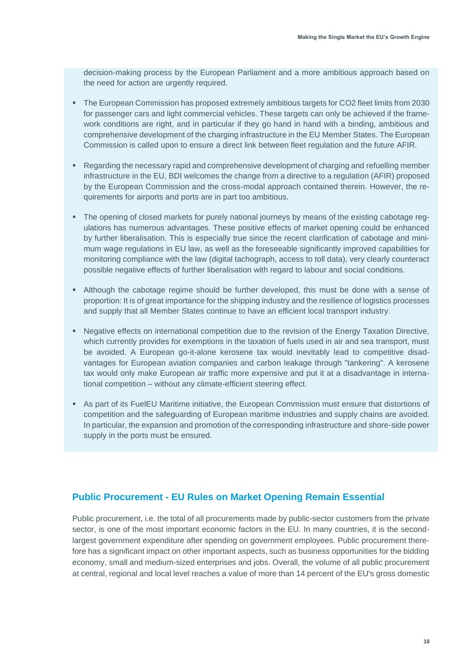decision-making process by the European Parliament and a more ambitious approach based on the need for action are urgently required.

- The European Commission has proposed extremely ambitious targets for CO2 fleet limits from 2030 for passenger cars and light commercial vehicles. These targets can only be achieved if the framework conditions are right, and in particular if they go hand in hand with a binding, ambitious and comprehensive development of the charging infrastructure in the EU Member States. The European Commission is called upon to ensure a direct link between fleet regulation and the future AFIR.
- Regarding the necessary rapid and comprehensive development of charging and refuelling member infrastructure in the EU, BDI welcomes the change from a directive to a regulation (AFIR) proposed by the European Commission and the cross-modal approach contained therein. However, the requirements for airports and ports are in part too ambitious.
- The opening of closed markets for purely national journeys by means of the existing cabotage regulations has numerous advantages. These positive effects of market opening could be enhanced by further liberalisation. This is especially true since the recent clarification of cabotage and minimum wage regulations in EU law, as well as the foreseeable significantly improved capabilities for monitoring compliance with the law (digital tachograph, access to toll data), very clearly counteract possible negative effects of further liberalisation with regard to labour and social conditions.
- **EXECT Although the cabotage regime should be further developed, this must be done with a sense of** proportion: It is of great importance for the shipping industry and the resilience of logistics processes and supply that all Member States continue to have an efficient local transport industry.
- **Negative effects on international competition due to the revision of the Energy Taxation Directive,** which currently provides for exemptions in the taxation of fuels used in air and sea transport, must be avoided. A European go-it-alone kerosene tax would inevitably lead to competitive disadvantages for European aviation companies and carbon leakage through "tankering". A kerosene tax would only make European air traffic more expensive and put it at a disadvantage in international competition – without any climate-efficient steering effect.
- As part of its FuelEU Maritime initiative, the European Commission must ensure that distortions of competition and the safeguarding of European maritime industries and supply chains are avoided. In particular, the expansion and promotion of the corresponding infrastructure and shore-side power supply in the ports must be ensured.

## <span id="page-17-0"></span>**Public Procurement - EU Rules on Market Opening Remain Essential**

Public procurement, i.e. the total of all procurements made by public-sector customers from the private sector, is one of the most important economic factors in the EU. In many countries, it is the secondlargest government expenditure after spending on government employees. Public procurement therefore has a significant impact on other important aspects, such as business opportunities for the bidding economy, small and medium-sized enterprises and jobs. Overall, the volume of all public procurement at central, regional and local level reaches a value of more than 14 percent of the EU's gross domestic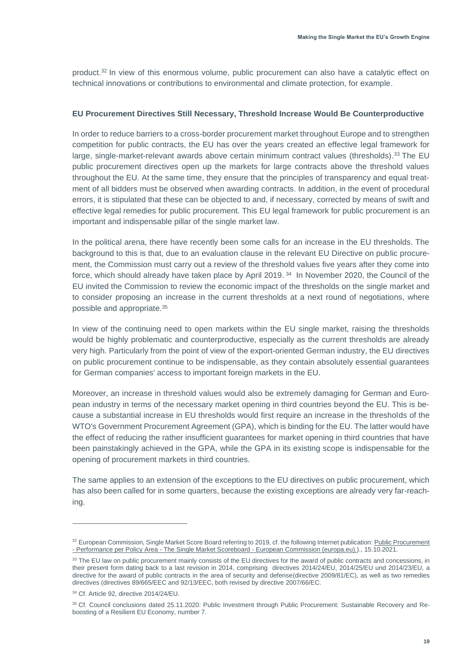product.<sup>32</sup> In view of this enormous volume, public procurement can also have a catalytic effect on technical innovations or contributions to environmental and climate protection, for example.

#### <span id="page-18-0"></span>**EU Procurement Directives Still Necessary, Threshold Increase Would Be Counterproductive**

In order to reduce barriers to a cross-border procurement market throughout Europe and to strengthen competition for public contracts, the EU has over the years created an effective legal framework for large, single-market-relevant awards above certain minimum contract values (thresholds).<sup>33</sup> The EU public procurement directives open up the markets for large contracts above the threshold values throughout the EU. At the same time, they ensure that the principles of transparency and equal treatment of all bidders must be observed when awarding contracts. In addition, in the event of procedural errors, it is stipulated that these can be objected to and, if necessary, corrected by means of swift and effective legal remedies for public procurement. This EU legal framework for public procurement is an important and indispensable pillar of the single market law.

In the political arena, there have recently been some calls for an increase in the EU thresholds. The background to this is that, due to an evaluation clause in the relevant EU Directive on public procurement, the Commission must carry out a review of the threshold values five years after they come into force, which should already have taken place by April 2019. <sup>34</sup> In November 2020, the Council of the EU invited the Commission to review the economic impact of the thresholds on the single market and to consider proposing an increase in the current thresholds at a next round of negotiations, where possible and appropriate. 35

In view of the continuing need to open markets within the EU single market, raising the thresholds would be highly problematic and counterproductive, especially as the current thresholds are already very high. Particularly from the point of view of the export-oriented German industry, the EU directives on public procurement continue to be indispensable, as they contain absolutely essential guarantees for German companies' access to important foreign markets in the EU.

Moreover, an increase in threshold values would also be extremely damaging for German and European industry in terms of the necessary market opening in third countries beyond the EU. This is because a substantial increase in EU thresholds would first require an increase in the thresholds of the WTO's Government Procurement Agreement (GPA), which is binding for the EU. The latter would have the effect of reducing the rather insufficient guarantees for market opening in third countries that have been painstakingly achieved in the GPA, while the GPA in its existing scope is indispensable for the opening of procurement markets in third countries.

The same applies to an extension of the exceptions to the EU directives on public procurement, which has also been called for in some quarters, because the existing exceptions are already very far-reaching.

<sup>32</sup> European Commission, Single Market Score Board referring to 2019, cf. the following Internet publication: Public Procurement - Performance per Policy Area - The Single Market Scoreboard - [European Commission \(europa.eu\).\)](https://ec.europa.eu/internal_market/scoreboard/performance_per_policy_area/public_procurement/index_en.htm)., 15.10.2021.

<sup>&</sup>lt;sup>33</sup> The EU law on public procurement mainly consists of the EU directives for the award of public contracts and concessions, in their present form dating back to a last revision in 2014, comprising directives 2014/24/EU, 2014/25/EU und 2014/23/EU, a directive for the award of public contracts in the area of security and defense(directive 2009/81/EC), as well as two remedies directives (directives 89/665/EEC and 92/13/EEC, both revised by directive 2007/66/EC.

<sup>34</sup> Cf. Article 92, directive 2014/24/EU.

<sup>35</sup> Cf. Council conclusions dated 25.11.2020: Public Investment through Public Procurement: Sustainable Recovery and Reboosting of a Resilient EU Economy, number 7.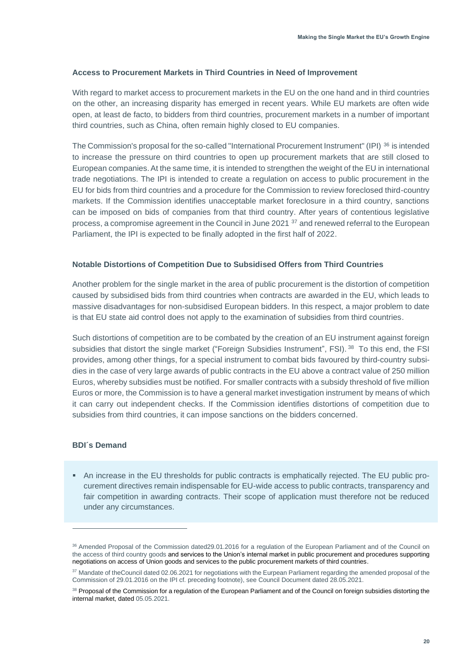#### <span id="page-19-0"></span>**Access to Procurement Markets in Third Countries in Need of Improvement**

With regard to market access to procurement markets in the EU on the one hand and in third countries on the other, an increasing disparity has emerged in recent years. While EU markets are often wide open, at least de facto, to bidders from third countries, procurement markets in a number of important third countries, such as China, often remain highly closed to EU companies.

The Commission's proposal for the so-called "International Procurement Instrument" (IPI) <sup>36</sup> is intended to increase the pressure on third countries to open up procurement markets that are still closed to European companies.At the same time, it is intended to strengthen the weight of the EU in international trade negotiations. The IPI is intended to create a regulation on access to public procurement in the EU for bids from third countries and a procedure for the Commission to review foreclosed third-country markets. If the Commission identifies unacceptable market foreclosure in a third country, sanctions can be imposed on bids of companies from that third country. After years of contentious legislative process, a compromise agreement in the Council in June 2021 <sup>37</sup> and renewed referral to the European Parliament, the IPI is expected to be finally adopted in the first half of 2022.

#### <span id="page-19-1"></span>**Notable Distortions of Competition Due to Subsidised Offers from Third Countries**

Another problem for the single market in the area of public procurement is the distortion of competition caused by subsidised bids from third countries when contracts are awarded in the EU, which leads to massive disadvantages for non-subsidised European bidders. In this respect, a major problem to date is that EU state aid control does not apply to the examination of subsidies from third countries.

Such distortions of competition are to be combated by the creation of an EU instrument against foreign subsidies that distort the single market ("Foreign Subsidies Instrument", FSI).<sup>38</sup> To this end, the FSI provides, among other things, for a special instrument to combat bids favoured by third-country subsidies in the case of very large awards of public contracts in the EU above a contract value of 250 million Euros, whereby subsidies must be notified. For smaller contracts with a subsidy threshold of five million Euros or more, the Commission is to have a general market investigation instrument by means of which it can carry out independent checks. If the Commission identifies distortions of competition due to subsidies from third countries, it can impose sanctions on the bidders concerned.

#### <span id="page-19-2"></span>**BDI´s Demand**

■ An increase in the EU thresholds for public contracts is emphatically rejected. The EU public procurement directives remain indispensable for EU-wide access to public contracts, transparency and fair competition in awarding contracts. Their scope of application must therefore not be reduced under any circumstances.

<sup>&</sup>lt;sup>36</sup> Amended Proposal of the Commission dated29.01.2016 for a regulation of the European Parliament and of the Council on the access of third country goods and services to the Union's internal market in public procurement and procedures supporting negotiations on access of Union goods and services to the public procurement markets of third countries.

<sup>&</sup>lt;sup>37</sup> Mandate of theCouncil dated 02.06.2021 for negotiations with the Eurpean Parliament regarding the amended proposal of the Commission of 29.01.2016 on the IPI cf. preceding footnote), see Council Document dated 28.05.2021.

<sup>&</sup>lt;sup>38</sup> Proposal of the Commission for a regulation of the European Parliament and of the Council on foreign subsidies distorting the internal market, dated 05.05.2021.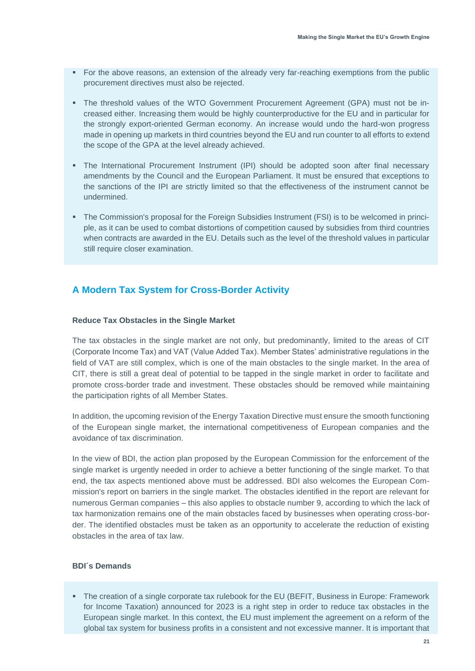- For the above reasons, an extension of the already very far-reaching exemptions from the public procurement directives must also be rejected.
- The threshold values of the WTO Government Procurement Agreement (GPA) must not be increased either. Increasing them would be highly counterproductive for the EU and in particular for the strongly export-oriented German economy. An increase would undo the hard-won progress made in opening up markets in third countries beyond the EU and run counter to all efforts to extend the scope of the GPA at the level already achieved.
- The International Procurement Instrument (IPI) should be adopted soon after final necessary amendments by the Council and the European Parliament. It must be ensured that exceptions to the sanctions of the IPI are strictly limited so that the effectiveness of the instrument cannot be undermined.
- The Commission's proposal for the Foreign Subsidies Instrument (FSI) is to be welcomed in principle, as it can be used to combat distortions of competition caused by subsidies from third countries when contracts are awarded in the EU. Details such as the level of the threshold values in particular still require closer examination.

## <span id="page-20-0"></span>**A Modern Tax System for Cross-Border Activity**

#### <span id="page-20-1"></span>**Reduce Tax Obstacles in the Single Market**

The tax obstacles in the single market are not only, but predominantly, limited to the areas of CIT (Corporate Income Tax) and VAT (Value Added Tax). Member States' administrative regulations in the field of VAT are still complex, which is one of the main obstacles to the single market. In the area of CIT, there is still a great deal of potential to be tapped in the single market in order to facilitate and promote cross-border trade and investment. These obstacles should be removed while maintaining the participation rights of all Member States.

In addition, the upcoming revision of the Energy Taxation Directive must ensure the smooth functioning of the European single market, the international competitiveness of European companies and the avoidance of tax discrimination.

In the view of BDI, the action plan proposed by the European Commission for the enforcement of the single market is urgently needed in order to achieve a better functioning of the single market. To that end, the tax aspects mentioned above must be addressed. BDI also welcomes the European Commission's report on barriers in the single market. The obstacles identified in the report are relevant for numerous German companies – this also applies to obstacle number 9, according to which the lack of tax harmonization remains one of the main obstacles faced by businesses when operating cross-border. The identified obstacles must be taken as an opportunity to accelerate the reduction of existing obstacles in the area of tax law.

#### <span id="page-20-2"></span>**BDI´s Demands**

■ The creation of a single corporate tax rulebook for the EU (BEFIT, Business in Europe: Framework for Income Taxation) announced for 2023 is a right step in order to reduce tax obstacles in the European single market. In this context, the EU must implement the agreement on a reform of the global tax system for business profits in a consistent and not excessive manner. It is important that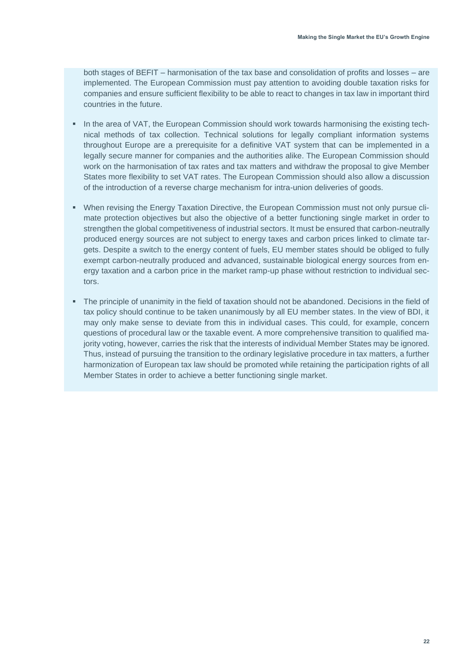both stages of BEFIT – harmonisation of the tax base and consolidation of profits and losses – are implemented. The European Commission must pay attention to avoiding double taxation risks for companies and ensure sufficient flexibility to be able to react to changes in tax law in important third countries in the future.

- **. In the area of VAT, the European Commission should work towards harmonising the existing tech**nical methods of tax collection. Technical solutions for legally compliant information systems throughout Europe are a prerequisite for a definitive VAT system that can be implemented in a legally secure manner for companies and the authorities alike. The European Commission should work on the harmonisation of tax rates and tax matters and withdraw the proposal to give Member States more flexibility to set VAT rates. The European Commission should also allow a discussion of the introduction of a reverse charge mechanism for intra-union deliveries of goods.
- **When revising the Energy Taxation Directive, the European Commission must not only pursue cli**mate protection objectives but also the objective of a better functioning single market in order to strengthen the global competitiveness of industrial sectors. It must be ensured that carbon-neutrally produced energy sources are not subject to energy taxes and carbon prices linked to climate targets. Despite a switch to the energy content of fuels, EU member states should be obliged to fully exempt carbon-neutrally produced and advanced, sustainable biological energy sources from energy taxation and a carbon price in the market ramp-up phase without restriction to individual sectors.
- The principle of unanimity in the field of taxation should not be abandoned. Decisions in the field of tax policy should continue to be taken unanimously by all EU member states. In the view of BDI, it may only make sense to deviate from this in individual cases. This could, for example, concern questions of procedural law or the taxable event. A more comprehensive transition to qualified majority voting, however, carries the risk that the interests of individual Member States may be ignored. Thus, instead of pursuing the transition to the ordinary legislative procedure in tax matters, a further harmonization of European tax law should be promoted while retaining the participation rights of all Member States in order to achieve a better functioning single market.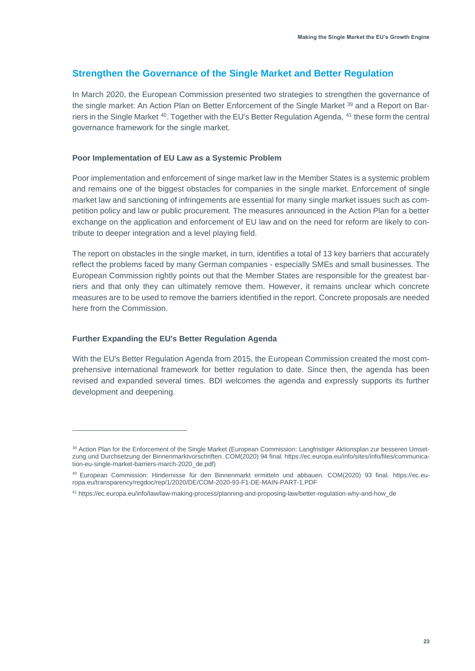## <span id="page-22-0"></span>**Strengthen the Governance of the Single Market and Better Regulation**

In March 2020, the European Commission presented two strategies to strengthen the governance of the single market: An Action Plan on Better Enforcement of the Single Market <sup>39</sup> and a Report on Barriers in the Single Market <sup>40</sup>. Together with the EU's Better Regulation Agenda, <sup>41</sup> these form the central governance framework for the single market.

#### <span id="page-22-1"></span>**Poor Implementation of EU Law as a Systemic Problem**

Poor implementation and enforcement of singe market law in the Member States is a systemic problem and remains one of the biggest obstacles for companies in the single market. Enforcement of single market law and sanctioning of infringements are essential for many single market issues such as competition policy and law or public procurement. The measures announced in the Action Plan for a better exchange on the application and enforcement of EU law and on the need for reform are likely to contribute to deeper integration and a level playing field.

The report on obstacles in the single market, in turn, identifies a total of 13 key barriers that accurately reflect the problems faced by many German companies - especially SMEs and small businesses. The European Commission rightly points out that the Member States are responsible for the greatest barriers and that only they can ultimately remove them. However, it remains unclear which concrete measures are to be used to remove the barriers identified in the report. Concrete proposals are needed here from the Commission.

#### <span id="page-22-2"></span>**Further Expanding the EU's Better Regulation Agenda**

With the EU's Better Regulation Agenda from 2015, the European Commission created the most comprehensive international framework for better regulation to date. Since then, the agenda has been revised and expanded several times. BDI welcomes the agenda and expressly supports its further development and deepening.

<sup>39</sup> Action Plan for the Enforcement of the Single Market (European Commission: Langfristiger Aktionsplan zur besseren Umsetzung und Durchsetzung der Binnenmarktvorschriften. COM(2020) 94 final[. https://ec.europa.eu/info/sites/info/files/communica](https://ec.europa.eu/info/sites/info/files/communication-eu-single-market-barriers-march-2020_de.pdf)[tion-eu-single-market-barriers-march-2020\\_de.pdf\)](https://ec.europa.eu/info/sites/info/files/communication-eu-single-market-barriers-march-2020_de.pdf)

<sup>40</sup> European Commission: Hindernisse für den Binnenmarkt ermitteln und abbauen. COM(2020) 93 final. [https://ec.eu](https://ec.europa.eu/transparency/regdoc/rep/1/2020/DE/COM-2020-93-F1-DE-MAIN-PART-1.PDF)[ropa.eu/transparency/regdoc/rep/1/2020/DE/COM-2020-93-F1-DE-MAIN-PART-1.PDF](https://ec.europa.eu/transparency/regdoc/rep/1/2020/DE/COM-2020-93-F1-DE-MAIN-PART-1.PDF)

<sup>41</sup> [https://ec.europa.eu/info/law/law-making-process/planning-and-proposing-law/better-regulation-why-and-how\\_de](https://ec.europa.eu/info/law/law-making-process/planning-and-proposing-law/better-regulation-why-and-how_de)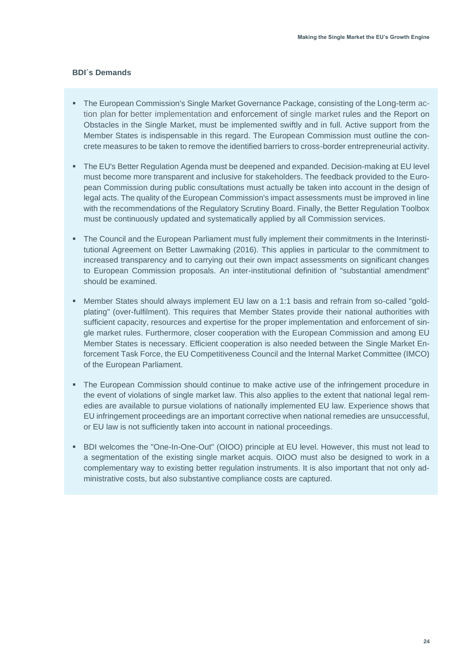- <span id="page-23-0"></span>**The European Commission's Single Market Governance Package, consisting of the Long-term ac**tion plan for better implementation and enforcement of single market rules and the Report on Obstacles in the Single Market, must be implemented swiftly and in full. Active support from the Member States is indispensable in this regard. The European Commission must outline the concrete measures to be taken to remove the identified barriers to cross-border entrepreneurial activity.
- The EU's Better Regulation Agenda must be deepened and expanded. Decision-making at EU level must become more transparent and inclusive for stakeholders. The feedback provided to the European Commission during public consultations must actually be taken into account in the design of legal acts. The quality of the European Commission's impact assessments must be improved in line with the recommendations of the Regulatory Scrutiny Board. Finally, the Better Regulation Toolbox must be continuously updated and systematically applied by all Commission services.
- The Council and the European Parliament must fully implement their commitments in the Interinstitutional Agreement on Better Lawmaking (2016). This applies in particular to the commitment to increased transparency and to carrying out their own impact assessments on significant changes to European Commission proposals. An inter-institutional definition of "substantial amendment" should be examined.
- Member States should always implement EU law on a 1:1 basis and refrain from so-called "goldplating" (over-fulfilment). This requires that Member States provide their national authorities with sufficient capacity, resources and expertise for the proper implementation and enforcement of single market rules. Furthermore, closer cooperation with the European Commission and among EU Member States is necessary. Efficient cooperation is also needed between the Single Market Enforcement Task Force, the EU Competitiveness Council and the Internal Market Committee (IMCO) of the European Parliament.
- **•** The European Commission should continue to make active use of the infringement procedure in the event of violations of single market law. This also applies to the extent that national legal remedies are available to pursue violations of nationally implemented EU law. Experience shows that EU infringement proceedings are an important corrective when national remedies are unsuccessful, or EU law is not sufficiently taken into account in national proceedings.
- BDI welcomes the "One-In-One-Out" (OIOO) principle at EU level. However, this must not lead to a segmentation of the existing single market acquis. OIOO must also be designed to work in a complementary way to existing better regulation instruments. It is also important that not only administrative costs, but also substantive compliance costs are captured.